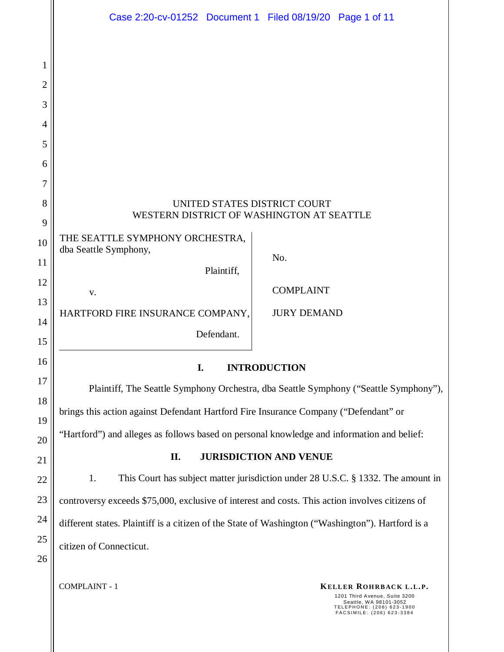|                | Case 2:20-cv-01252 Document 1 Filed 08/19/20 Page 1 of 11                                                                                                           |
|----------------|---------------------------------------------------------------------------------------------------------------------------------------------------------------------|
|                |                                                                                                                                                                     |
| $\mathbf{1}$   |                                                                                                                                                                     |
| $\overline{2}$ |                                                                                                                                                                     |
| 3              |                                                                                                                                                                     |
| 4              |                                                                                                                                                                     |
| 5              |                                                                                                                                                                     |
| 6              |                                                                                                                                                                     |
| 7              |                                                                                                                                                                     |
| 8              | UNITED STATES DISTRICT COURT<br>WESTERN DISTRICT OF WASHINGTON AT SEATTLE                                                                                           |
| 9              | THE SEATTLE SYMPHONY ORCHESTRA,                                                                                                                                     |
| 10             | dba Seattle Symphony,<br>No.                                                                                                                                        |
| 11             | Plaintiff,                                                                                                                                                          |
| 12             | <b>COMPLAINT</b><br>V.                                                                                                                                              |
| 13<br>14       | HARTFORD FIRE INSURANCE COMPANY,<br><b>JURY DEMAND</b>                                                                                                              |
| 15             | Defendant.                                                                                                                                                          |
| 16             |                                                                                                                                                                     |
| 17             | I.<br><b>INTRODUCTION</b>                                                                                                                                           |
| 18             | Plaintiff, The Seattle Symphony Orchestra, dba Seattle Symphony ("Seattle Symphony"),                                                                               |
| 19             | brings this action against Defendant Hartford Fire Insurance Company ("Defendant" or                                                                                |
| 20             | "Hartford") and alleges as follows based on personal knowledge and information and belief:                                                                          |
| 21             | <b>JURISDICTION AND VENUE</b><br>П.                                                                                                                                 |
| 22             | This Court has subject matter jurisdiction under 28 U.S.C. § 1332. The amount in<br>1.                                                                              |
| 23             | controversy exceeds \$75,000, exclusive of interest and costs. This action involves citizens of                                                                     |
| 24             | different states. Plaintiff is a citizen of the State of Washington ("Washington"). Hartford is a                                                                   |
| 25             | citizen of Connecticut.                                                                                                                                             |
| 26             |                                                                                                                                                                     |
|                | <b>COMPLAINT - 1</b><br>KELLER ROHRBACK L.L.P.<br>1201 Third Avenue, Suite 3200<br>Seattle, WA 98101-3052<br>TELEPHONE: (206) 623-1900<br>FACSIMILE: (206) 623-3384 |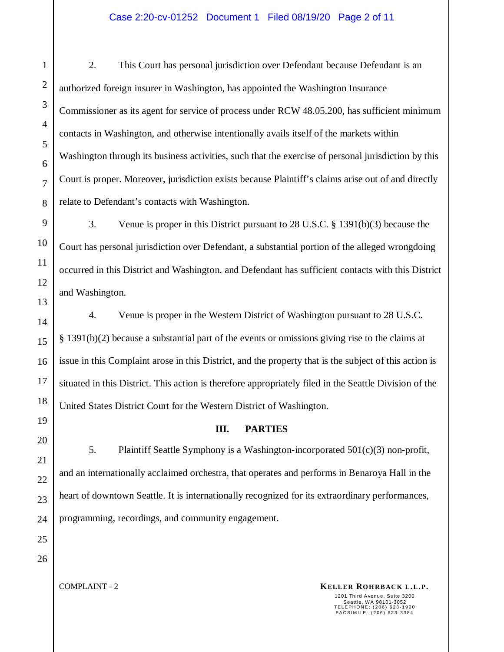2. This Court has personal jurisdiction over Defendant because Defendant is an authorized foreign insurer in Washington, has appointed the Washington Insurance Commissioner as its agent for service of process under RCW 48.05.200, has sufficient minimum contacts in Washington, and otherwise intentionally avails itself of the markets within Washington through its business activities, such that the exercise of personal jurisdiction by this Court is proper. Moreover, jurisdiction exists because Plaintiff's claims arise out of and directly relate to Defendant's contacts with Washington.

3. Venue is proper in this District pursuant to 28 U.S.C. § 1391(b)(3) because the Court has personal jurisdiction over Defendant, a substantial portion of the alleged wrongdoing occurred in this District and Washington, and Defendant has sufficient contacts with this District and Washington.

4. Venue is proper in the Western District of Washington pursuant to 28 U.S.C. § 1391(b)(2) because a substantial part of the events or omissions giving rise to the claims at issue in this Complaint arose in this District, and the property that is the subject of this action is situated in this District. This action is therefore appropriately filed in the Seattle Division of the United States District Court for the Western District of Washington.

# **III. PARTIES**

5. Plaintiff Seattle Symphony is a Washington-incorporated 501(c)(3) non-profit, and an internationally acclaimed orchestra, that operates and performs in Benaroya Hall in the heart of downtown Seattle. It is internationally recognized for its extraordinary performances, programming, recordings, and community engagement.

1

2

3

4

5

6

7

8

**KELLER ROHRBACK L.L.P. KELLER ROHRBACK L.L.P.**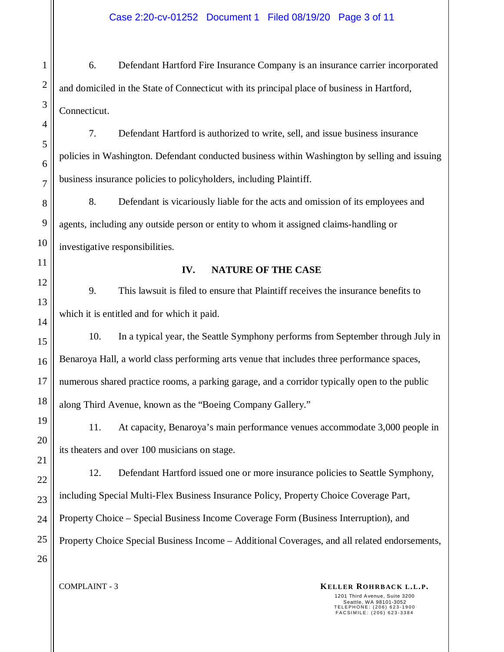6. Defendant Hartford Fire Insurance Company is an insurance carrier incorporated and domiciled in the State of Connecticut with its principal place of business in Hartford, Connecticut.

7. Defendant Hartford is authorized to write, sell, and issue business insurance policies in Washington. Defendant conducted business within Washington by selling and issuing business insurance policies to policyholders, including Plaintiff.

8. Defendant is vicariously liable for the acts and omission of its employees and agents, including any outside person or entity to whom it assigned claims-handling or investigative responsibilities.

# **IV. NATURE OF THE CASE**

9. This lawsuit is filed to ensure that Plaintiff receives the insurance benefits to which it is entitled and for which it paid.

10. In a typical year, the Seattle Symphony performs from September through July in Benaroya Hall, a world class performing arts venue that includes three performance spaces, numerous shared practice rooms, a parking garage, and a corridor typically open to the public along Third Avenue, known as the "Boeing Company Gallery."

11. At capacity, Benaroya's main performance venues accommodate 3,000 people in its theaters and over 100 musicians on stage.

12. Defendant Hartford issued one or more insurance policies to Seattle Symphony, including Special Multi-Flex Business Insurance Policy, Property Choice Coverage Part, Property Choice – Special Business Income Coverage Form (Business Interruption), and Property Choice Special Business Income – Additional Coverages, and all related endorsements,

#### **KELLER ROHRBACK L.L.P. KELLER ROHRBACK L.L.P.**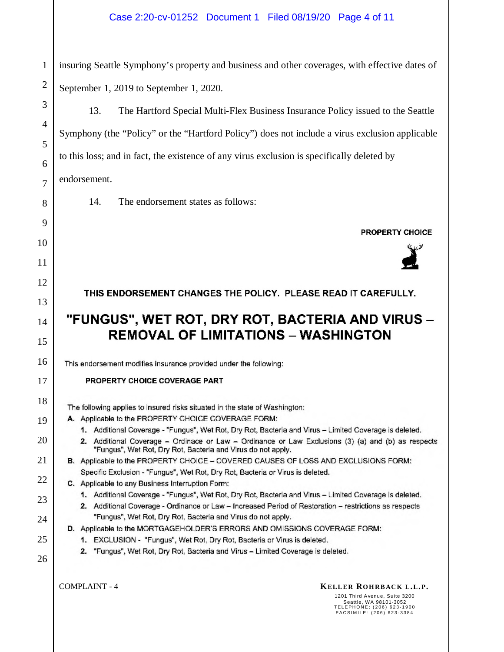## Case 2:20-cv-01252 Document 1 Filed 08/19/20 Page 4 of 11

insuring Seattle Symphony's property and business and other coverages, with effective dates of September 1, 2019 to September 1, 2020.

13. The Hartford Special Multi-Flex Business Insurance Policy issued to the Seattle Symphony (the "Policy" or the "Hartford Policy") does not include a virus exclusion applicable to this loss; and in fact, the existence of any virus exclusion is specifically deleted by endorsement.

14. The endorsement states as follows:

**PROPERTY CHOICE** 



THIS ENDORSEMENT CHANGES THE POLICY. PLEASE READ IT CAREFULLY.

# "FUNGUS", WET ROT, DRY ROT, BACTERIA AND VIRUS -**REMOVAL OF LIMITATIONS - WASHINGTON**

This endorsement modifies insurance provided under the following:

## PROPERTY CHOICE COVERAGE PART

The following applies to insured risks situated in the state of Washington:

- A. Applicable to the PROPERTY CHOICE COVERAGE FORM:
	- 1. Additional Coverage "Fungus", Wet Rot, Dry Rot, Bacteria and Virus Limited Coverage is deleted.
	- 2. Additional Coverage Ordinace or Law Ordinance or Law Exclusions (3) (a) and (b) as respects "Fungus", Wet Rot, Dry Rot, Bacteria and Virus do not apply.
- B. Applicable to the PROPERTY CHOICE COVERED CAUSES OF LOSS AND EXCLUSIONS FORM: Specific Exclusion - "Fungus", Wet Rot, Dry Rot, Bacteria or Virus is deleted.
- C. Applicable to any Business Interruption Form:
	- 1. Additional Coverage "Fungus", Wet Rot, Dry Rot, Bacteria and Virus Limited Coverage is deleted.
	- 2. Additional Coverage Ordinance or Law Increased Period of Restoration restrictions as respects "Fungus", Wet Rot, Dry Rot, Bacteria and Virus do not apply.
- D. Applicable to the MORTGAGEHOLDER'S ERRORS AND OMISSIONS COVERAGE FORM:
	- 1. EXCLUSION "Fungus", Wet Rot, Dry Rot, Bacteria or Virus is deleted.
		- 2. "Fungus", Wet Rot, Dry Rot, Bacteria and Virus Limited Coverage is deleted.

1

2

3

4

5

6

7

8

9

10

11

12

13

14

15

16

17

18

19

20

21

22

23

24

25

26

## **KELLER ROHRBACK L.L.P. KELLER ROHRBACK L.L.P.**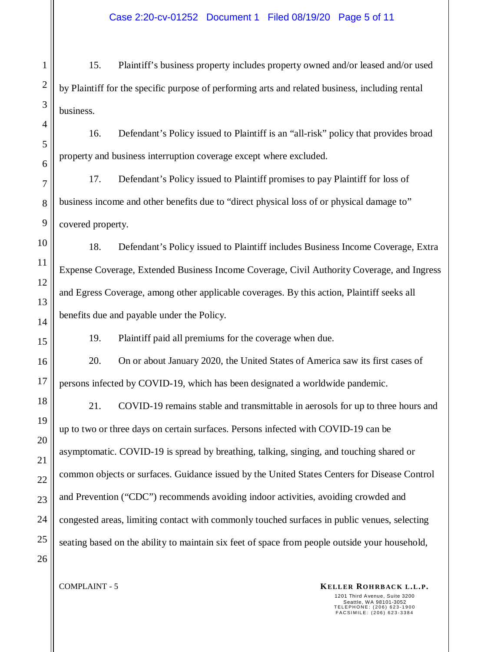15. Plaintiff's business property includes property owned and/or leased and/or used by Plaintiff for the specific purpose of performing arts and related business, including rental business.

16. Defendant's Policy issued to Plaintiff is an "all-risk" policy that provides broad property and business interruption coverage except where excluded.

17. Defendant's Policy issued to Plaintiff promises to pay Plaintiff for loss of business income and other benefits due to "direct physical loss of or physical damage to" covered property.

18. Defendant's Policy issued to Plaintiff includes Business Income Coverage, Extra Expense Coverage, Extended Business Income Coverage, Civil Authority Coverage, and Ingress and Egress Coverage, among other applicable coverages. By this action, Plaintiff seeks all benefits due and payable under the Policy.

19. Plaintiff paid all premiums for the coverage when due.

20. On or about January 2020, the United States of America saw its first cases of persons infected by COVID-19, which has been designated a worldwide pandemic.

21. COVID-19 remains stable and transmittable in aerosols for up to three hours and up to two or three days on certain surfaces. Persons infected with COVID-19 can be asymptomatic. COVID-19 is spread by breathing, talking, singing, and touching shared or common objects or surfaces. Guidance issued by the United States Centers for Disease Control and Prevention ("CDC") recommends avoiding indoor activities, avoiding crowded and congested areas, limiting contact with commonly touched surfaces in public venues, selecting seating based on the ability to maintain six feet of space from people outside your household,

1

2

3

4

5

6

7

8

9

10

11

12

13

14

15

16

17

18

19

20

21

22

23

24

25

26

#### **KELLER ROHRBACK L.L.P. KELLER ROHRBACK L.L.P.**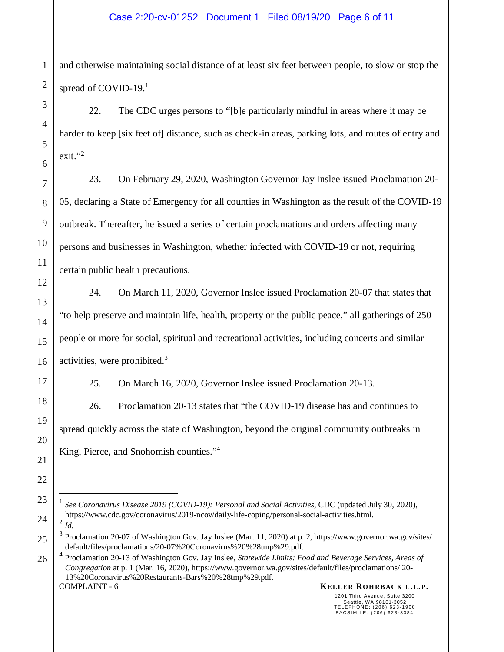and otherwise maintaining social distance of at least six feet between people, to slow or stop the spread of COVID-19.<sup>1</sup>

22. The CDC urges persons to "[b]e particularly mindful in areas where it may be harder to keep [six feet of] distance, such as check-in areas, parking lots, and routes of entry and exit."2

23. On February 29, 2020, Washington Governor Jay Inslee issued Proclamation 20- 05, declaring a State of Emergency for all counties in Washington as the result of the COVID-19 outbreak. Thereafter, he issued a series of certain proclamations and orders affecting many persons and businesses in Washington, whether infected with COVID-19 or not, requiring certain public health precautions.

24. On March 11, 2020, Governor Inslee issued Proclamation 20-07 that states that "to help preserve and maintain life, health, property or the public peace," all gatherings of 250 people or more for social, spiritual and recreational activities, including concerts and similar activities, were prohibited.<sup>3</sup>

25. On March 16, 2020, Governor Inslee issued Proclamation 20-13.

26. Proclamation 20-13 states that "the COVID-19 disease has and continues to spread quickly across the state of Washington, beyond the original community outbreaks in King, Pierce, and Snohomish counties."<sup>4</sup>

**KELLER ROHRBACK L.L.P. KELLER ROHRBACK L.L.P.** 4 Proclamation 20-13 of Washington Gov. Jay Inslee, *Statewide Limits: Food and Beverage Services, Areas of Congregation* at p. 1 (Mar. 16, 2020), https://www.governor.wa.gov/sites/default/files/proclamations/ 20- 13%20Coronavirus%20Restaurants-Bars%20%28tmp%29.pdf.

1

1201 Third Avenue, Suite 3200 Seattle, WA 98101-3052 T E L E P H O N E : ( 2 0 6 ) 6 2 3 - 1 9 0 0 FAC SIMILE: (206) 623-3384

<sup>&</sup>lt;sup>1</sup> See Coronavirus Disease 2019 (COVID-19): Personal and Social Activities, CDC (updated July 30, 2020), https://www.cdc.gov/coronavirus/2019-ncov/daily-life-coping/personal-social-activities.html. 2 *Id.*

 $3$  Proclamation 20-07 of Washington Gov. Jay Inslee (Mar. 11, 2020) at p. 2, https://www.governor.wa.gov/sites/ default/files/proclamations/20-07%20Coronavirus%20%28tmp%29.pdf.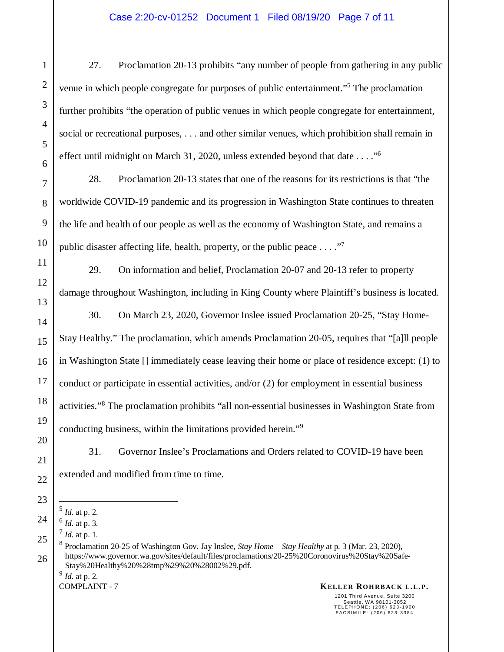27. Proclamation 20-13 prohibits "any number of people from gathering in any public venue in which people congregate for purposes of public entertainment."<sup>5</sup> The proclamation further prohibits "the operation of public venues in which people congregate for entertainment, social or recreational purposes, . . . and other similar venues, which prohibition shall remain in effect until midnight on March 31, 2020, unless extended beyond that date . . . . "<sup>6</sup>

28. Proclamation 20-13 states that one of the reasons for its restrictions is that "the worldwide COVID-19 pandemic and its progression in Washington State continues to threaten the life and health of our people as well as the economy of Washington State, and remains a public disaster affecting life, health, property, or the public peace  $\dots$ ."

29. On information and belief, Proclamation 20-07 and 20-13 refer to property damage throughout Washington, including in King County where Plaintiff's business is located.

30. On March 23, 2020, Governor Inslee issued Proclamation 20-25, "Stay Home-Stay Healthy." The proclamation, which amends Proclamation 20-05, requires that "[a]ll people in Washington State [] immediately cease leaving their home or place of residence except: (1) to conduct or participate in essential activities, and/or (2) for employment in essential business activities."<sup>8</sup> The proclamation prohibits "all non-essential businesses in Washington State from conducting business, within the limitations provided herein."<sup>9</sup>

31. Governor Inslee's Proclamations and Orders related to COVID-19 have been extended and modified from time to time.

9 *Id.* at p. 2.

## **KELLER ROHRBACK L.L.P. KELLER ROHRBACK L.L.P.**

<sup>5</sup> *Id.* at p. 2.

<sup>6</sup> *Id.* at p. 3.

<sup>7</sup> *Id.* at p. 1.

<sup>8</sup> Proclamation 20-25 of Washington Gov. Jay Inslee, *Stay Home – Stay Healthy* at p. 3 (Mar. 23, 2020), https://www.governor.wa.gov/sites/default/files/proclamations/20-25%20Coronovirus%20Stay%20Safe-Stay%20Healthy%20%28tmp%29%20%28002%29.pdf.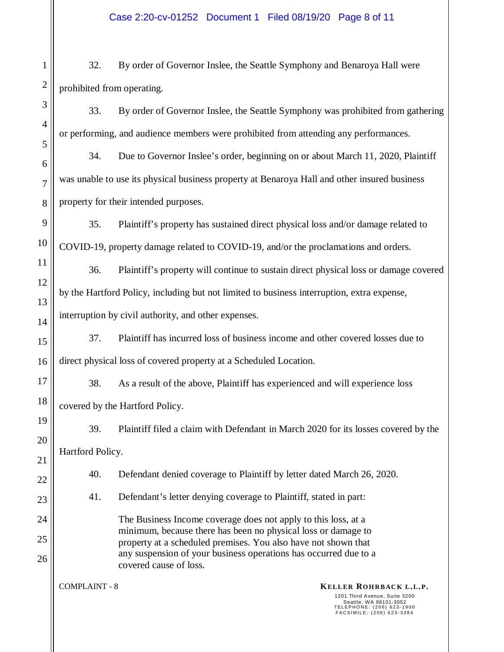32. By order of Governor Inslee, the Seattle Symphony and Benaroya Hall were prohibited from operating.

33. By order of Governor Inslee, the Seattle Symphony was prohibited from gathering or performing, and audience members were prohibited from attending any performances.

34. Due to Governor Inslee's order, beginning on or about March 11, 2020, Plaintiff was unable to use its physical business property at Benaroya Hall and other insured business property for their intended purposes.

35. Plaintiff's property has sustained direct physical loss and/or damage related to COVID-19, property damage related to COVID-19, and/or the proclamations and orders.

36. Plaintiff's property will continue to sustain direct physical loss or damage covered by the Hartford Policy, including but not limited to business interruption, extra expense, interruption by civil authority, and other expenses.

37. Plaintiff has incurred loss of business income and other covered losses due to direct physical loss of covered property at a Scheduled Location.

38. As a result of the above, Plaintiff has experienced and will experience loss covered by the Hartford Policy.

39. Plaintiff filed a claim with Defendant in March 2020 for its losses covered by the Hartford Policy.

40. Defendant denied coverage to Plaintiff by letter dated March 26, 2020.

41. Defendant's letter denying coverage to Plaintiff, stated in part:

The Business Income coverage does not apply to this loss, at a minimum, because there has been no physical loss or damage to property at a scheduled premises. You also have not shown that any suspension of your business operations has occurred due to a covered cause of loss.

## **KELLER ROHRBACK L.L.P. KELLER ROHRBACK L.L.P.**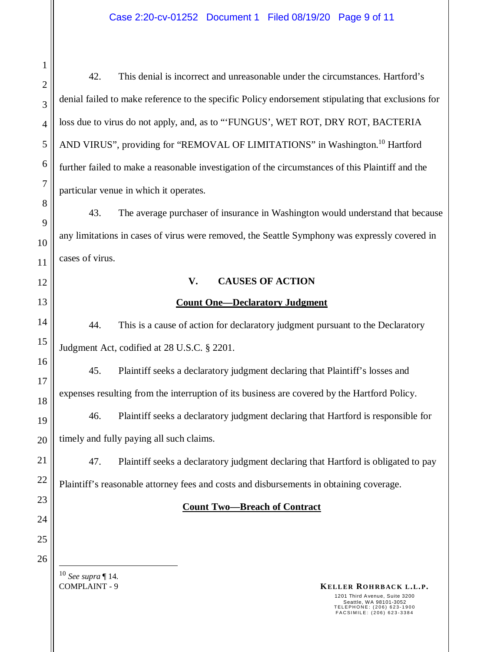42. This denial is incorrect and unreasonable under the circumstances. Hartford's denial failed to make reference to the specific Policy endorsement stipulating that exclusions for loss due to virus do not apply, and, as to "'FUNGUS', WET ROT, DRY ROT, BACTERIA AND VIRUS", providing for "REMOVAL OF LIMITATIONS" in Washington.<sup>10</sup> Hartford further failed to make a reasonable investigation of the circumstances of this Plaintiff and the particular venue in which it operates.

43. The average purchaser of insurance in Washington would understand that because any limitations in cases of virus were removed, the Seattle Symphony was expressly covered in cases of virus.

# **V. CAUSES OF ACTION**

# **Count One—Declaratory Judgment**

44. This is a cause of action for declaratory judgment pursuant to the Declaratory Judgment Act, codified at 28 U.S.C. § 2201.

45. Plaintiff seeks a declaratory judgment declaring that Plaintiff's losses and expenses resulting from the interruption of its business are covered by the Hartford Policy.

46. Plaintiff seeks a declaratory judgment declaring that Hartford is responsible for timely and fully paying all such claims.

47. Plaintiff seeks a declaratory judgment declaring that Hartford is obligated to pay Plaintiff's reasonable attorney fees and costs and disbursements in obtaining coverage.

# **Count Two—Breach of Contract**

<sup>10</sup> *See supra* ¶ 14.

**KELLER ROHRBACK L.L.P. KELLER ROHRBACK L.L.P.**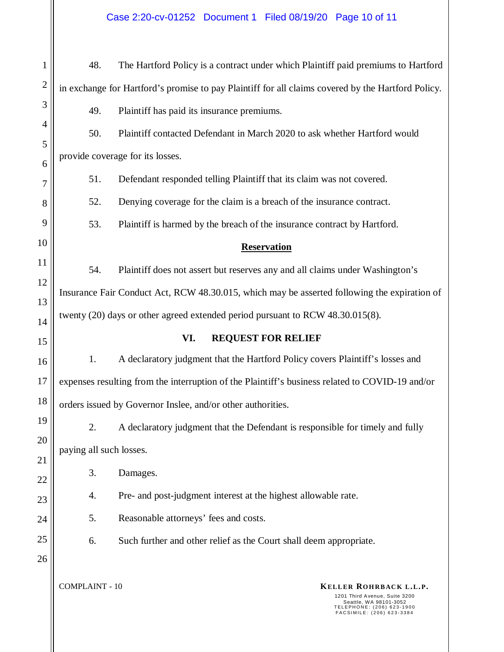**KELLER ROHRBACK L.L.P. KELLER ROHRBACK L.L.P.** 1201 Third Avenue, Suite 3200 Seattle, WA 98101-3052<br>TELEPHONE: (206) 623-1900<br>FACSIMILE: (206) 623-3384 1 2 3 4 5 6 7 8 9 10 11 12 13 14 15 16 17 18 19 20 21 22 23 24 25 26 48. The Hartford Policy is a contract under which Plaintiff paid premiums to Hartford in exchange for Hartford's promise to pay Plaintiff for all claims covered by the Hartford Policy. 49. Plaintiff has paid its insurance premiums. 50. Plaintiff contacted Defendant in March 2020 to ask whether Hartford would provide coverage for its losses. 51. Defendant responded telling Plaintiff that its claim was not covered. 52. Denying coverage for the claim is a breach of the insurance contract. 53. Plaintiff is harmed by the breach of the insurance contract by Hartford. **Reservation**  54. Plaintiff does not assert but reserves any and all claims under Washington's Insurance Fair Conduct Act, RCW 48.30.015, which may be asserted following the expiration of twenty (20) days or other agreed extended period pursuant to RCW 48.30.015(8). **VI. REQUEST FOR RELIEF**  1. A declaratory judgment that the Hartford Policy covers Plaintiff's losses and expenses resulting from the interruption of the Plaintiff's business related to COVID-19 and/or orders issued by Governor Inslee, and/or other authorities. 2. A declaratory judgment that the Defendant is responsible for timely and fully paying all such losses. 3. Damages. 4. Pre- and post-judgment interest at the highest allowable rate. 5. Reasonable attorneys' fees and costs. 6. Such further and other relief as the Court shall deem appropriate. Case 2:20-cv-01252 Document 1 Filed 08/19/20 Page 10 of 11